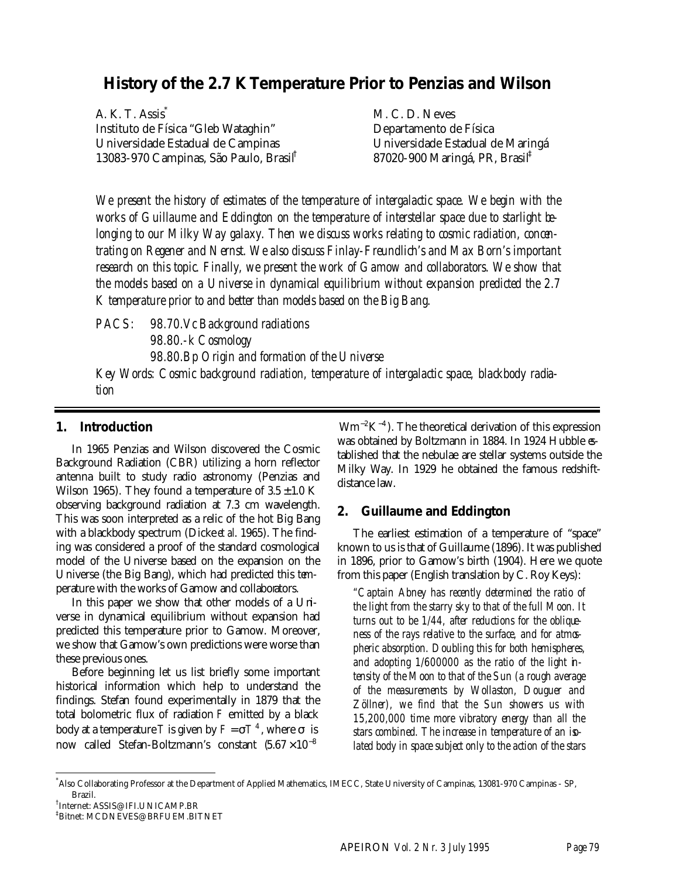# **History of the 2.7 K Temperature Prior to Penzias and Wilson**

A. K. T. Assis<sup>\*</sup> Instituto de Física "Gleb Wataghin" Universidade Estadual de Campinas 13083-970 Campinas, São Paulo, Brasil†

M. C. D. Neves Departamento de Física Universidade Estadual de Maringá 87020-900 Maringá, PR, Brasil‡

*We present the history of estimates of the temperature of intergalactic space. We begin with the works of Guillaume and Eddington on the temperature of interstellar space due to starlight belonging to our Milky Way galaxy. Then we discuss works relating to cosmic radiation, concentrating on Regener and Nernst. We also discuss Finlay-Freundlich's and Max Born's important research on this topic. Finally, we present the work of Gamow and collaborators. We show that the models based on a Universe in dynamical equilibrium without expansion predicted the 2.7 K temperature prior to and better than models based on the Big Bang.*

*PACS: 98.70.Vc Background radiations 98.80.-k Cosmology 98.80.Bp Origin and formation of the Universe*

*Key Words: Cosmic background radiation, temperature of intergalactic space, blackbody radiation*

#### **1. Introduction**

In 1965 Penzias and Wilson discovered the Cosmic Background Radiation (CBR) utilizing a horn reflector antenna built to study radio astronomy (Penzias and Wilson 1965). They found a temperature of  $3.5 \pm 1.0$  K observing background radiation at 7.3 cm wavelength. This was soon interpreted as a relic of the hot Big Bang with a blackbody spectrum (Dicke *et al*. 1965). The finding was considered a proof of the standard cosmological model of the Universe based on the expansion on the Universe (the Big Bang), which had predicted this temperature with the works of Gamow and collaborators.

In this paper we show that other models of a Universe in dynamical equilibrium without expansion had predicted this temperature prior to Gamow. Moreover, we show that Gamow's own predictions were worse than these previous ones.

Before beginning let us list briefly some important historical information which help to understand the findings. Stefan found experimentally in 1879 that the total bolometric flux of radiation *F* emitted by a black body at a temperature *T* is given by  $F = \mathbf{s} T^4$ , where  $\mathbf{s}$  is now called Stefan-Boltzmann's constant  $(5.67 \times 10^{-8})$ 

 $Wm^{-2}K^{-4}$ ). The theoretical derivation of this expression was obtained by Boltzmann in 1884. In 1924 Hubble &tablished that the nebulae are stellar systems outside the Milky Way. In 1929 he obtained the famous redshiftdistance law.

## **2. Guillaume and Eddington**

The earliest estimation of a temperature of "space" known to us is that of Guillaume (1896). It was published in 1896, prior to Gamow's birth (1904). Here we quote from this paper (English translation by C. Roy Keys):

*"Captain Abney has recently determined the ratio of the light from the starry sky to that of the full Moon. It turns out to be 1/44, after reductions for the obliqueness of the rays relative to the surface, and for atmospheric absorption. Doubling this for both hemispheres, and adopting 1/600000 as the ratio of the light intensity of the Moon to that of the Sun (a rough average of the measurements by Wollaston, Douguer and Zöllner), we find that the Sun showers us with 15,200,000 time more vibratory energy than all the stars combined. The increase in temperature of an isolated body in space subject only to the action of the stars*

l

<sup>\*</sup> Also Collaborating Professor at the Department of Applied Mathematics, IMECC, State University of Campinas, 13081-970 Campinas - SP, Brazil.

<sup>†</sup> Internet: ASSIS@IFI.UNICAMP.BR

<sup>‡</sup>Bitnet: MCDNEVES@BRFUEM.BITNET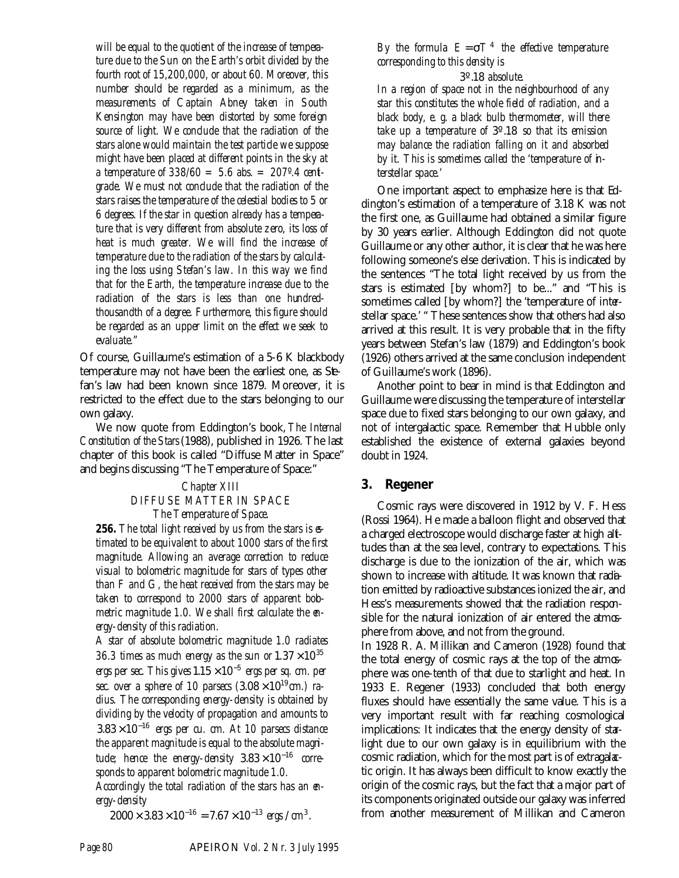*will be equal to the quotient of the increase of temperature due to the Sun on the Earth's orbit divided by the fourth root of 15,200,000, or about 60. Moreover, this number should be regarded as a minimum, as the measurements of Captain Abney taken in South Kensington may have been distorted by some foreign source of light. We conclude that the radiation of the stars alone would maintain the test particle we suppose might have been placed at different points in the sky at a temperature of 338/60 = 5.6 abs. = 207º.4 centigrade. We must not conclude that the radiation of the stars raises the temperature of the celestial bodies to 5 or 6 degrees. If the star in question already has a temperature that is very different from absolute zero, its loss of heat is much greater. We will find the increase of temperature due to the radiation of the stars by calculating the loss using Stefan's law. In this way we find that for the Earth, the temperature increase due to the radiation of the stars is less than one hundredthousandth of a degree. Furthermore, this figure should be regarded as an upper limit on the effect we seek to evaluate."*

Of course, Guillaume's estimation of a 5-6 K blackbody temperature may not have been the earliest one, as Stefan's law had been known since 1879. Moreover, it is restricted to the effect due to the stars belonging to our own galaxy.

We now quote from Eddington's book, *The Internal Constitution of the Stars* (1988), published in 1926. The last chapter of this book is called "Diffuse Matter in Space" and begins discussing "The Temperature of Space:"

#### *Chapter XIII DIFFUSE MATTER IN SPACE The Temperature of Space.*

*256. The total light received by us from the stars is estimated to be equivalent to about 1000 stars of the first magnitude. Allowing an average correction to reduce visual to bolometric magnitude for stars of types other than F and G, the heat received from the stars may be taken to correspond to 2000 stars of apparent bolometric magnitude 1.0. We shall first calculate the energy-density of this radiation.*

*A star of absolute bolometric magnitude 1.0 radiates* 36.3 times as much energy as the sun or  $1.37 \times 10^{35}$ *ergs per sec. This gives*  $1.15 \times 10^{-5}$  *ergs per sq. cm. per sec. over a sphere of 10 parsecs*  $(3.08 \times 10^{19} \text{ cm.})$  *radius. The corresponding energy-density is obtained by dividing by the velocity of propagation and amounts to*  $3.83 \times 10^{-16}$  ergs per cu. cm. At 10 parsecs distance *the apparent magnitude is equal to the absolute magnitude;* hence the energy-density  $3.83 \times 10^{-16}$  corre*sponds to apparent bolometric magnitude 1.0.*

*Accordingly the total radiation of the stars has an energy-density*

 $2000 \times 3.83 \times 10^{-16} = 7.67 \times 10^{-13}$  ergs /  $cm<sup>3</sup>$ .

*By the formula*  $E = sT<sup>4</sup>$  *the effective temperature corresponding to this density is*

3º.18 *absolute*.

*In a region of space not in the neighbourhood of any star this constitutes the whole field of radiation, and a black body, e. g. a black bulb thermometer, will there take up a temperature of* 3º.18 *so that its emission may balance the radiation falling on it and absorbed by it. This is sometimes called the 'temperature of interstellar space.'*

One important aspect to emphasize here is that Eddington's estimation of a temperature of 3.18 K was not the first one, as Guillaume had obtained a similar figure by 30 years earlier. Although Eddington did not quote Guillaume or any other author, it is clear that he was here following someone's else derivation. This is indicated by the sentences "The total light received by us from the stars is estimated [by whom?] to be..." and "This is sometimes called [by whom?] the 'temperature of interstellar space.' " These sentences show that others had also arrived at this result. It is very probable that in the fifty years between Stefan's law (1879) and Eddington's book (1926) others arrived at the same conclusion independent of Guillaume's work (1896).

Another point to bear in mind is that Eddington and Guillaume were discussing the temperature of interstellar space due to fixed stars belonging to our own galaxy, and not of intergalactic space. Remember that Hubble only established the existence of external galaxies beyond doubt in 1924.

## **3. Regener**

Cosmic rays were discovered in 1912 by V. F. Hess (Rossi 1964). He made a balloon flight and observed that a charged electroscope would discharge faster at high alttudes than at the sea level, contrary to expectations. This discharge is due to the ionization of the air, which was shown to increase with altitude. It was known that radiation emitted by radioactive substances ionized the air, and Hess's measurements showed that the radiation responsible for the natural ionization of air entered the atmosphere from above, and not from the ground.

In 1928 R. A. Millikan and Cameron (1928) found that the total energy of cosmic rays at the top of the atmosphere was one-tenth of that due to starlight and heat. In 1933 E. Regener (1933) concluded that both energy fluxes should have essentially the same value. This is a very important result with far reaching cosmological implications: It indicates that the energy density of starlight due to our own galaxy is in equilibrium with the cosmic radiation, which for the most part is of extragal $x$ tic origin. It has always been difficult to know exactly the origin of the cosmic rays, but the fact that a major part of its components originated outside our galaxy was inferred from another measurement of Millikan and Cameron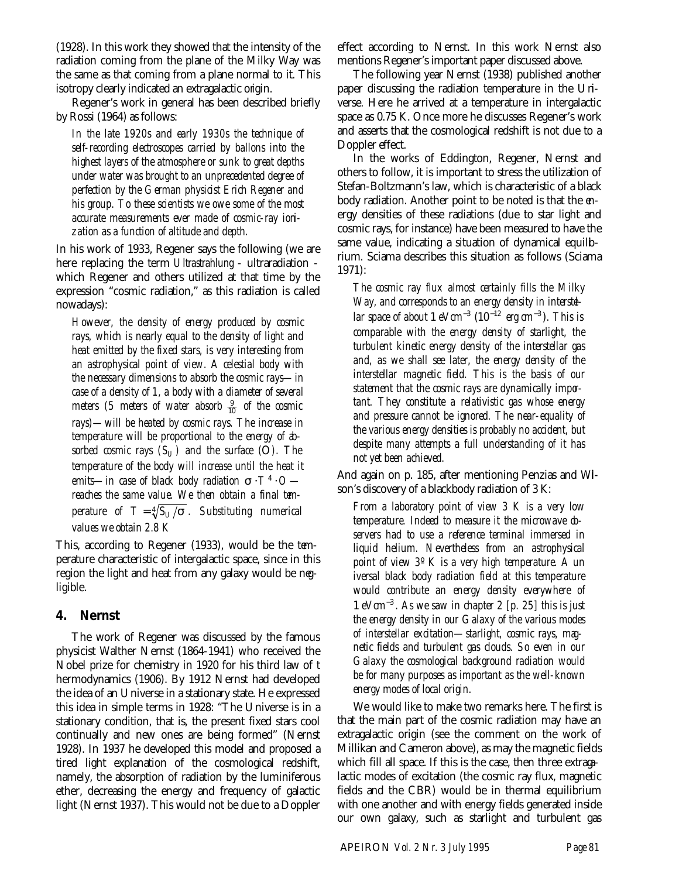(1928). In this work they showed that the intensity of the radiation coming from the plane of the Milky Way was the same as that coming from a plane normal to it. This isotropy clearly indicated an extragalactic origin.

Regener's work in general has been described briefly by Rossi (1964) as follows:

*In the late 1920s and early 1930s the technique of self-recording electroscopes carried by ballons into the highest layers of the atmosphere or sunk to great depths under water was brought to an unprecedented degree of perfection by the German physicist Erich Regener and his group. To these scientists we owe some of the most accurate measurements ever made of cosmic-ray ionization as a function of altitude and depth.*

In his work of 1933, Regener says the following (we are here replacing the term *Ultrastrahlung* - ultraradiation which Regener and others utilized at that time by the expression "cosmic radiation," as this radiation is called nowadays):

*However, the density of energy produced by cosmic rays, which is nearly equal to the density of light and heat emitted by the fixed stars, is very interesting from an astrophysical point of view. A celestial body with the necessary dimensions to absorb the cosmic rays—in case of a density of 1, a body with a diameter of several meters (5 meters of water absorb*  $\frac{9}{10}$  *of the cosmic rays)—will be heated by cosmic rays. The increase in temperature will be proportional to the energy of absorbed cosmic rays*  $(S_U)$  *and the surface* (O). The *temperature of the body will increase until the heat it emits—in case of black body radiation <i>s* ⋅ *T*<sup>4</sup> ⋅ *O reaches the same value. We then obtain a final temperature of*  $T = \sqrt[4]{S_U / s}$ . Substituting numerical *values we obtain 2.8 K*

This, according to Regener (1933), would be the temperature characteristic of intergalactic space, since in this region the light and heat from any galaxy would be negligible.

#### **4. Nernst**

The work of Regener was discussed by the famous physicist Walther Nernst (1864-1941) who received the Nobel prize for chemistry in 1920 for his third law of t hermodynamics (1906). By 1912 Nernst had developed the idea of an Universe in a stationary state. He expressed this idea in simple terms in 1928: "The Universe is in a stationary condition, that is, the present fixed stars cool continually and new ones are being formed" (Nernst 1928). In 1937 he developed this model and proposed a tired light explanation of the cosmological redshift, namely, the absorption of radiation by the luminiferous ether, decreasing the energy and frequency of galactic light (Nernst 1937). This would not be due to a Doppler effect according to Nernst. In this work Nernst also mentions Regener's important paper discussed above.

The following year Nernst (1938) published another paper discussing the radiation temperature in the Universe. Here he arrived at a temperature in intergalactic space as 0.75 K. Once more he discusses Regener's work and asserts that the cosmological redshift is not due to a Doppler effect.

In the works of Eddington, Regener, Nernst and others to follow, it is important to stress the utilization of Stefan-Boltzmann's law, which is characteristic of a black body radiation. Another point to be noted is that the energy densities of these radiations (due to star light and cosmic rays, for instance) have been measured to have the same value, indicating a situation of dynamical equilibrium. Sciama describes this situation as follows (Sciama 1971):

*The cosmic ray flux almost certainly fills the Milky* Way, and corresponds to an energy density in interstd*lar space of about* 1  $eVcm^{-3}$  ( $10^{-12}$   $erg \, cm^{-3}$ ). This is *comparable with the energy density of starlight, the turbulent kinetic energy density of the interstellar gas and, as we shall see later, the energy density of the interstellar magnetic field. This is the basis of our statement that the cosmic rays are dynamically important. They constitute a relativistic gas whose energy and pressure cannot be ignored. The near-equality of the various energy densities is probably no accident, but despite many attempts a full understanding of it has not yet been achieved.*

And again on p. 185, after mentioning Penzias and Wilson's discovery of a blackbody radiation of 3 K:

*From a laboratory point of view 3 K is a very low temperature. Indeed to measure it the microwave observers had to use a reference terminal immersed in liquid helium. Nevertheless from an astrophysical point of view 3º K is a very high temperature. A un iversal black body radiation field at this temperature would contribute an energy density everywhere of* 1 3 *eVcm*<sup>−</sup> *. As we saw in chapter 2 [p. 25] this is just the energy density in our Galaxy of the various modes of interstellar excitation—starlight, cosmic rays, magnetic fields and turbulent gas clouds. So even in our Galaxy the cosmological background radiation would be for many purposes as important as the well-known energy modes of local origin.*

We would like to make two remarks here. The first is that the main part of the cosmic radiation may have an extragalactic origin (see the comment on the work of Millikan and Cameron above), as may the magnetic fields which fill all space. If this is the case, then three extragalactic modes of excitation (the cosmic ray flux, magnetic fields and the CBR) would be in thermal equilibrium with one another and with energy fields generated inside our own galaxy, such as starlight and turbulent gas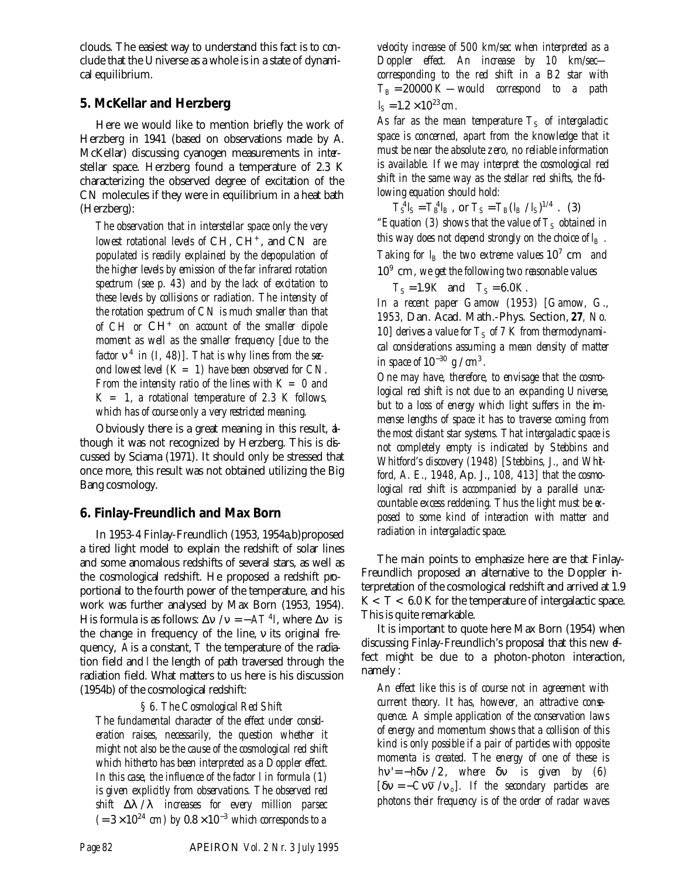clouds. The easiest way to understand this fact is to conclude that the Universe as a whole is in a state of dynamical equilibrium.

## **5. McKellar and Herzberg**

Here we would like to mention briefly the work of Herzberg in 1941 (based on observations made by A. McKellar) discussing cyanogen measurements in interstellar space. Herzberg found a temperature of 2.3 K characterizing the observed degree of excitation of the CN molecules if they were in equilibrium in a heat bath (Herzberg):

*The observation that in interstellar space only the very lowest rotational levels of CH, CH<sup>+</sup>, and CN are populated is readily explained by the depopulation of the higher levels by emission of the far infrared rotation spectrum (see p. 43) and by the lack of excitation to these levels by collisions or radiation. The intensity of the rotation spectrum of CN is much smaller than that of CH or* CH<sup>+</sup> *on account of the smaller dipole moment as well as the smaller frequency [due to the factor*  $\mathbf{n}^4$  *in* (*I, 48)*]. That is why lines from the sec*ond lowest level (K = 1) have been observed for CN. From the intensity ratio of the lines with K = 0 and K = 1, a rotational temperature of 2.3 K follows, which has of course only a very restricted meaning.*

Obviously there is a great meaning in this result, although it was not recognized by Herzberg. This is discussed by Sciama (1971). It should only be stressed that once more, this result was not obtained utilizing the Big Bang cosmology.

## **6. Finlay-Freundlich and Max Born**

In 1953-4 Finlay-Freundlich (1953, 1954a,b)proposed a tired light model to explain the redshift of solar lines and some anomalous redshifts of several stars, as well as the cosmological redshift. He proposed a redshift proportional to the fourth power of the temperature, and his work was further analysed by Max Born (1953, 1954). His formula is as follows:  $\Delta n / n = -AT^4 l$ , where  $\Delta n$  is the change in frequency of the line, *n* its original frequency, *A*is a constant, *T* the temperature of the radiation field and *l* the length of path traversed through the radiation field. What matters to us here is his discussion (1954b) of the cosmological redshift:

## *§ 6. The Cosmological Red Shift*

*The fundamental character of the effect under consideration raises, necessarily, the question whether it might not also be the cause of the cosmological red shift which hitherto has been interpreted as a Doppler effect. In this case, the influence of the factor l in formula (1) is given explicitly from observations. The observed red shift* Δ*l* / *l increases for every million parsec*  $(= 3 \times 10^{24}$  *cm)* by  $0.8 \times 10^{-3}$  which corresponds to a

*velocity increase of 500 km/sec when interpreted as a Doppler effect. An increase by 10 km/sec corresponding to the red shift in a B2 star with*  $T_B = 20000 K$  *—would correspond to a path*  $l_S = 1.2 \times 10^{23}$  *cm*.

 $As$  *far as the mean temperature*  $T_S$  *of intergalactic space is concerned, apart from the knowledge that it must be near the absolute zero, no reliable information is available. If we may interpret the cosmological red shift in the same way as the stellar red shifts, the following equation should hold:*

 $T_S^4 I_S = T_B^4 I_B$ , or  $T_S = T_B (I_B / I_S)^{1/4}$ . (3) *"Equation (3) shows that the value of*  $T<sub>S</sub>$  *obtained in this way does not depend strongly on the choice of*  $I_B$ *. Taking for*  $l_B$  *the two extreme values*  $10^7$  cm *and* 10<sup>9</sup> cm*, we get the following two reasonable values*

 $T_S = 1.9K$  and  $T_S = 6.0K$ .

*In a recent paper Gamow (1953) [Gamow, G., 1953,* Dan. Acad. Math.-Phys. Section, *27, No.* 10] derives a value for  $T<sub>S</sub>$  of 7 K from thermodynami*cal considerations assuming a mean density of matter in space of*  $10^{-30}$  *g* /  $cm^3$  *.* 

*One may have, therefore, to envisage that the cosmological red shift is not due to an expanding Universe, but to a loss of energy which light suffers in the immense lengths of space it has to traverse coming from the most distant star systems. That intergalactic space is not completely empty is indicated by Stebbins and Whitford's discovery (1948) [Stebbins, J., and Whitford, A. E., 1948,* Ap. J., *108, 413] that the cosmo*logical red shift is accompanied by a parallel una*countable excess reddening. Thus the light must be exposed to some kind of interaction with matter and radiation in intergalactic space.*

The main points to emphasize here are that Finlay-Freundlich proposed an alternative to the Doppler interpretation of the cosmological redshift and arrived at 1.9  $K < T < 6.0 K$  for the temperature of intergalactic space. This is quite remarkable.

It is important to quote here Max Born (1954) when discussing Finlay-Freundlich's proposal that this new effect might be due to a photon-photon interaction, namely :

*An effect like this is of course not in agreement with current theory. It has, however, an attractive consequence. A simple application of the conservation laws of energy and momentum shows that a collision of this kind is only possible if a pair of particles with opposite momenta is created. The energy of one of these is hn*'= −*hdn* / 2 *, where dn is given by (6)*  $[dn = -Cn\overline{n} / n_o]$ . If the secondary particles are *photons their frequency is of the order of radar waves*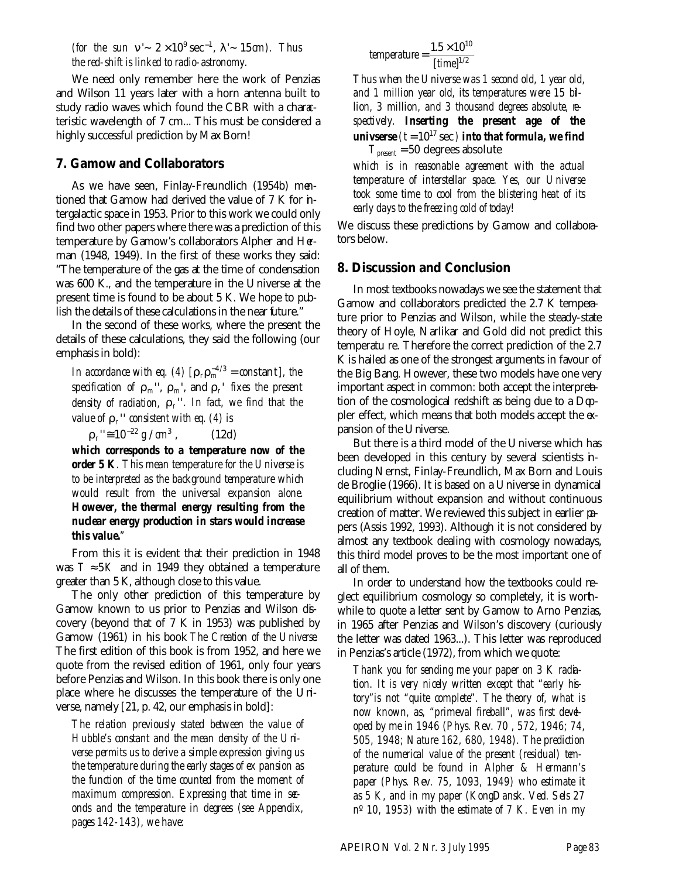*(for the sun*  $\mathbf{n}' \sim 2 \times 10^9 \text{ sec}^{-1}$ *,*  $\mathbf{l}' \sim 15 \text{ cm}$ *). Thus the red-shift is linked to radio-astronomy.*

We need only remember here the work of Penzias and Wilson 11 years later with a horn antenna built to study radio waves which found the CBR with a characteristic wavelength of 7 cm... This must be considered a highly successful prediction by Max Born!

#### **7. Gamow and Collaborators**

As we have seen, Finlay-Freundlich (1954b) mentioned that Gamow had derived the value of 7 K for intergalactic space in 1953. Prior to this work we could only find two other papers where there was a prediction of this temperature by Gamow's collaborators Alpher and Herman (1948, 1949). In the first of these works they said: "The temperature of the gas at the time of condensation was 600 K., and the temperature in the Universe at the present time is found to be about 5 K. We hope to publish the details of these calculations in the near future."

In the second of these works, where the present the details of these calculations, they said the following (our emphasis in bold):

*In accordance with eq.* (4)  $[r_r r_m^{-4/3} = constant]$ , the *specification of*  $\boldsymbol{r}_m$ *'',*  $\boldsymbol{r}_m$ *', and*  $\boldsymbol{r}_r$ *' fixes the present density of radiation, r<sup>r</sup>* ' '*. In fact, we find that the value of*  $r_r$ <sup>"</sup> *consistent with eq.* (4) is

 $r_r$ ''≅  $10^{-22} g / cm^3$  $(12d)$ 

*which corresponds to a temperature now of the order 5 K. This mean temperature for the Universe is to be interpreted as the background temperature which would result from the universal expansion alone. However, the thermal energy resulting from the nuclear energy production in stars would increase this value."*

From this it is evident that their prediction in 1948 was  $T \approx 5K$  and in 1949 they obtained a temperature greater than 5 K, although close to this value.

The only other prediction of this temperature by Gamow known to us prior to Penzias and Wilson discovery (beyond that of 7 K in 1953) was published by Gamow (1961) in his book *The Creation of the Universe*. The first edition of this book is from 1952, and here we quote from the revised edition of 1961, only four years before Penzias and Wilson. In this book there is only one place where he discusses the temperature of the Universe, namely [21, p. 42, our emphasis in bold]:

*The relation previously stated between the value of Hubble's constant and the mean density of the Universe permits us to derive a simple expression giving us the temperature during the early stages of ex pansion as the function of the time counted from the moment of maximum compression. Expressing that time in seconds and the temperature in degrees (see Appendix, pages 142-143), we have:*

$$
temperature = \frac{1.5 \times 10^{10}}{[time]^{1/2}}
$$

*Thus when the Universe was 1 second old, 1 year old, and 1 million year old, its temperatures were 15 bil*lion, 3 million, and 3 thousand degrees absolute, re*spectively. Inserting the present age of the univserse*  $(t = 10^{17} \text{ sec})$  *into that formula, we find Tpresent* = 50 degrees absolute

*which is in reasonable agreement with the actual temperature of interstellar space. Yes, our Universe took some time to cool from the blistering heat of its early days to the freezing cold of today!*

We discuss these predictions by Gamow and collabontors below.

#### **8. Discussion and Conclusion**

In most textbooks nowadays we see the statement that Gamow and collaborators predicted the 2.7 K temperature prior to Penzias and Wilson, while the steady-state theory of Hoyle, Narlikar and Gold did not predict this temperatu re. Therefore the correct prediction of the 2.7 K is hailed as one of the strongest arguments in favour of the Big Bang. However, these two models have one very important aspect in common: both accept the interpretation of the cosmological redshift as being due to a Doppler effect, which means that both models accept the  $\alpha$ pansion of the Universe.

But there is a third model of the Universe which has been developed in this century by several scientists including Nernst, Finlay-Freundlich, Max Born and Louis de Broglie (1966). It is based on a Universe in dynamical equilibrium without expansion and without continuous creation of matter. We reviewed this subject in earlier papers (Assis 1992, 1993). Although it is not considered by almost any textbook dealing with cosmology nowadays, this third model proves to be the most important one of all of them.

In order to understand how the textbooks could neglect equilibrium cosmology so completely, it is worthwhile to quote a letter sent by Gamow to Arno Penzias, in 1965 after Penzias and Wilson's discovery (curiously the letter was dated 1963...). This letter was reproduced in Penzias's article (1972), from which we quote:

*Thank you for sending me your paper on 3 K radiation. It is very nicely written except that "early history"is not "quite complete". The theory of, what is now known, as, "primeval fireball", was first developed by me in 1946 (Phys. Rev. 70 , 572, 1946; 74, 505, 1948; Nature 162, 680, 1948). The prediction of the numerical value of the present (residual) temperature could be found in Alpher & Hermann's paper (Phys. Rev. 75, 1093, 1949) who estimate it as 5 K, and in my paper (KongDansk. Ved. Sels 27 nº 10, 1953) with the estimate of 7 K. Even in my*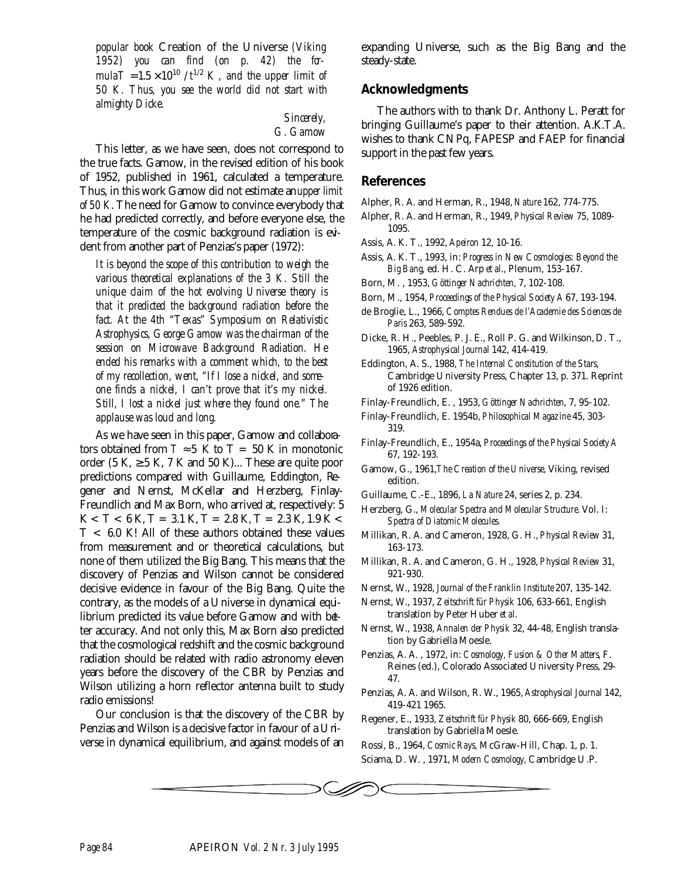*popular book* Creation of the Universe *(Viking 1952) you can find (on p. 42) the formula* $T = 1.5 \times 10^{10}$  /  $t^{1/2}$  K, and the upper limit of *50 K. Thus, you see the world did not start with almighty Dicke.*

> *Sincerely, G. Gamow*

This letter, as we have seen, does not correspond to the true facts. Gamow, in the revised edition of his book of 1952, published in 1961, calculated a temperature. Thus, in this work Gamow did not estimate an *upper limit of 50 K*. The need for Gamow to convince everybody that he had predicted correctly, and before everyone else, the temperature of the cosmic background radiation is evident from another part of Penzias's paper (1972):

*It is beyond the scope of this contribution to weigh the various theoretical explanations of the 3 K. Still the unique claim of the hot evolving Universe theory is that it predicted the background radiation before the fact. At the 4th "Texas" Symposium on Relativistic Astrophysics, George Gamow was the chairman of the session on Microwave Background Radiation. He ended his remarks with a comment which, to the best of my recollection, went, "If I lose a nickel, and someone finds a nickel, I can't prove that it's my nickel. Still, I lost a nickel just where they found one." The applause was loud and long.*

As we have seen in this paper, Gamow and collaborators obtained from  $T \approx 5$  K to T = 50 K in monotonic order (5 K,  $\geq$  5 K, 7 K and 50 K)... These are quite poor predictions compared with Guillaume, Eddington, Regener and Nernst, McKellar and Herzberg, Finlay-Freundlich and Max Born, who arrived at, respectively: 5  $K < T < 6 K$ , T = 3.1 K, T = 2.8 K, T = 2.3 K, 1.9 K <  $T < 6.0$  K! All of these authors obtained these values from measurement and or theoretical calculations, but none of them utilized the Big Bang. This means that the discovery of Penzias and Wilson cannot be considered decisive evidence in favour of the Big Bang. Quite the contrary, as the models of a Universe in dynamical equilibrium predicted its value before Gamow and with better accuracy. And not only this, Max Born also predicted that the cosmological redshift and the cosmic background radiation should be related with radio astronomy eleven years before the discovery of the CBR by Penzias and Wilson utilizing a horn reflector antenna built to study radio emissions!

Our conclusion is that the discovery of the CBR by Penzias and Wilson is a decisive factor in favour of a Universe in dynamical equilibrium, and against models of an expanding Universe, such as the Big Bang and the steady-state.

### **Acknowledgments**

The authors with to thank Dr. Anthony L. Peratt for bringing Guillaume's paper to their attention. A.K.T.A. wishes to thank CNPq, FAPESP and FAEP for financial support in the past few years.

### **References**

Alpher, R. A. and Herman, R., 1948, *Nature* 162, 774-775.

Alpher, R. A. and Herman, R., 1949, *Physical Review* 75, 1089- 1095.

Assis, A. K. T., 1992, *Apeiron* 12, 10-16.

- Assis, A. K. T., 1993, in: *Progress in New Cosmologies: Beyond the Big Bang*, ed. H. C. Arp *et al*., Plenum, 153-167.
- Born, M. , 1953, *Göttinger Nachrichten*, 7, 102-108.
- Born, M., 1954, *Proceedings of the Physical Society A* 67, 193-194.
- de Broglie, L., 1966, *Comptes Rendues de l'Academie des Sciences de Paris* 263, 589-592.
- Dicke, R. H., Peebles, P. J. E., Roll P. G. and Wilkinson, D. T., 1965, *Astrophysical Journal* 142, 414-419.
- Eddington, A. S., 1988, *The Internal Constitution of the Stars,* Cambridge University Press, Chapter 13, p. 371. Reprint of 1926 edition.
- Finlay-Freundlich, E. , 1953, *Göttinger Nachrichten*, 7, 95-102.
- Finlay-Freundlich, E. 1954b, *Philosophical Magazine* 45, 303- 319.
- Finlay-Freundlich, E., 1954a, *Proceedings of the Physical Society A* 67, 192-193.
- Gamow, G., 1961,*The Creation of the Universe,* Viking, revised edition.
- Guillaume, C.-E., 1896, *La Nature* 24, series 2, p. 234.
- Herzberg, G., *Molecular Spectra and Molecular Structure.* Vol. I: *Spectra of Diatomic Molecules.*
- Millikan, R. A. and Cameron, 1928, G. H., *Physical Review* 31, 163-173.
- Millikan, R. A. and Cameron, G. H., 1928, *Physical Review* 31, 921-930.
- Nernst, W., 1928, *Journal of the Franklin Institute* 207, 135-142.
- Nernst, W., 1937, *Zeitschrift für Physik* 106, 633-661, English translation by Peter Huber *et al*.
- Nernst, W., 1938, *Annalen der Physik* 32, 44-48, English translation by Gabriella Moesle.
- Penzias, A. A. , 1972, in: *Cosmology, Fusion & Other Matters*, F. Reines (ed.), Colorado Associated University Press, 29- 47.
- Penzias, A. A. and Wilson, R. W., 1965, *Astrophysical Journal* 142, 419-421 1965.
- Regener, E., 1933, *Zeitschrift für Physik* 80, 666-669, English translation by Gabriella Moesle.
- Rossi, B., 1964, *Cosmic Rays,* McGraw-Hill, Chap. 1, p. 1. Sciama, D. W. , 1971, *Modern Cosmology,* Cambridge U.P.

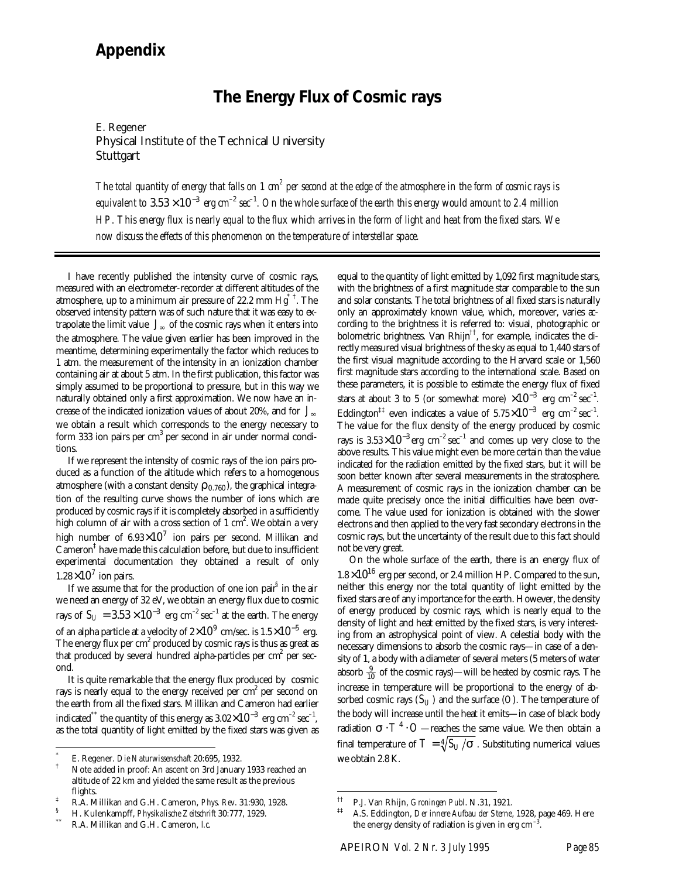# *Appendix*

# **The Energy Flux of Cosmic rays**

E. Regener Physical Institute of the Technical University Stuttgart

The total quantity of energy that falls on 1 cm<sup>2</sup> per second at the edge of the atmosphere in the form of cosmic rays is equivalent to  $3.53\times 10^{-3}$  erg cm<sup>-2</sup> sec<sup>-1</sup>. On the whole surface of the earth this energy would amount to 2.4 million *HP. This energy flux is nearly equal to the flux which arrives in the form of light and heat from the fixed stars. We now discuss the effects of this phenomenon on the temperature of interstellar space.*

I have recently published the intensity curve of cosmic rays, measured with an electrometer-recorder at different altitudes of the atmosphere, up to a minimum air pressure of 22.2 mm  $\mathrm{Hg}^{*\,+}$  . The observed intensity pattern was of such nature that it was easy to extrapolate the limit value  $J_{\infty}$  of the cosmic rays when it enters into the atmosphere. The value given earlier has been improved in the meantime, determining experimentally the factor which reduces to 1 atm. the measurement of the intensity in an ionization chamber containing air at about 5 atm. In the first publication, this factor was simply assumed to be proportional to pressure, but in this way we naturally obtained only a first approximation. We now have an increase of the indicated ionization values of about 20%, and for *J*<sup>∞</sup> we obtain a result which corresponds to the energy necessary to form 333 ion pairs per cm<sup>3</sup> per second in air under normal conditions.

If we represent the intensity of cosmic rays of the ion pairs produced as a function of the altitude which refers to a homogenous atmosphere (with a constant density  $r_{0.760}$ ), the graphical integration of the resulting curve shows the number of ions which are produced by cosmic rays if it is completely absorbed in a sufficiently high column of air with a cross section of  $1 \text{ cm}^2$ . We obtain a very high number of 6.93 $\times 10^7$  ion pairs per second. Millikan and Cameron‡ have made this calculation before, but due to insufficient experimental documentation they obtained a result of only  $1.28\times10^7$  ion pairs.

If we assume that for the production of one ion pair<sup>§</sup> in the air we need an energy of 32 eV, we obtain an energy flux due to cosmic rays of  $S_U = 3.53 \times 10^{-3}$   $\ {\rm erg}\ {\rm cm}^{-2}\ {\rm sec}^{-1}$  at the earth. The energy of an alpha particle at a velocity of 2 $\times10^9\,$  cm/sec. is 1.5 $\times10^{-5}\,$  erg. The energy flux per  $\text{cm}^2$  produced by cosmic rays is thus as great as that produced by several hundred alpha-particles per cm<sup>2</sup> per second.

It is quite remarkable that the energy flux produced by cosmic rays is nearly equal to the energy received per cm<sup>2</sup> per second on the earth from all the fixed stars. Millikan and Cameron had earlier indicated $^*$  the quantity of this energy as 3.02 $\times10^{-3}$  erg cm $^{-2}$  sec $^{-1}$ , as the total quantity of light emitted by the fixed stars was given as

-

equal to the quantity of light emitted by 1,092 first magnitude stars, with the brightness of a first magnitude star comparable to the sun and solar constants. The total brightness of all fixed stars is naturally only an approximately known value, which, moreover, varies according to the brightness it is referred to: visual, photographic or bolometric brightness. Van Rhijn<sup> $\top$ </sup>, for example, indicates the directly measured visual brightness of the sky as equal to 1,440 stars of the first visual magnitude according to the Harvard scale or 1,560 first magnitude stars according to the international scale. Based on these parameters, it is possible to estimate the energy flux of fixed stars at about 3 to 5 (or somewhat more)  $\times 10^{-3}$  erg cm<sup>-2</sup> sec<sup>-1</sup>. Eddington<sup>‡‡</sup> even indicates a value of 5.75 $\times10^{-3}$  erg cm<sup>-2</sup> sec<sup>-1</sup>. The value for the flux density of the energy produced by cosmic rays is 3.53 $\times10^{-3}$  erg  $\rm cm^{-2}\hspace{0.5mm}sec^{-1}$  and comes up very close to the above results. This value might even be more certain than the value indicated for the radiation emitted by the fixed stars, but it will be soon better known after several measurements in the stratosphere. A measurement of cosmic rays in the ionization chamber can be made quite precisely once the initial difficulties have been overcome. The value used for ionization is obtained with the slower electrons and then applied to the very fast secondary electrons in the cosmic rays, but the uncertainty of the result due to this fact should not be very great.

On the whole surface of the earth, there is an energy flux of  $1.8\times10^{16}$  erg per second, or 2.4 million HP. Compared to the sun, neither this energy nor the total quantity of light emitted by the fixed stars are of any importance for the earth. However, the density of energy produced by cosmic rays, which is nearly equal to the density of light and heat emitted by the fixed stars, is very interesting from an astrophysical point of view. A celestial body with the necessary dimensions to absorb the cosmic rays—in case of a density of 1, a body with a diameter of several meters (5 meters of water absorb  $\frac{9}{10}$  of the cosmic rays)—will be heated by cosmic rays. The increase in temperature will be proportional to the energy of absorbed cosmic rays  $(S_U)$  and the surface  $(O)$ . The temperature of the body will increase until the heat it emits—in case of black body radiation  $\boldsymbol{s}\cdot T^4\cdot O$ —reaches the same value. We then obtain a final temperature of  $T = \sqrt[4]{S_U / s}$ . Substituting numerical values we obtain 2.8 K.

 $\overline{a}$ 

<sup>\*</sup> E. Regener. *Die Naturwissenschaft* 20:695, 1932.

<sup>†</sup> Note added in proof: An ascent on 3rd January 1933 reached an altitude of 22 km and yielded the same result as the previous flights.

<sup>‡</sup> R.A. Millikan and G.H. Cameron, *Phys. Rev*. 31:930, 1928.

<sup>§</sup> H. Kulenkampff, *Physikalische Zeitschrift* 30:777, 1929.

<sup>\*\*</sup> R.A. Millikan and G.H. Cameron, *l.c*.

<sup>††</sup> P.J. Van Rhijn, *Groningen Publ*. N.31, 1921.

<sup>‡‡</sup> A.S. Eddington, *Der innere Aufbau der Sterne*, 1928, page 469. Here the energy density of radiation is given in erg  $\rm cm^{-3}.$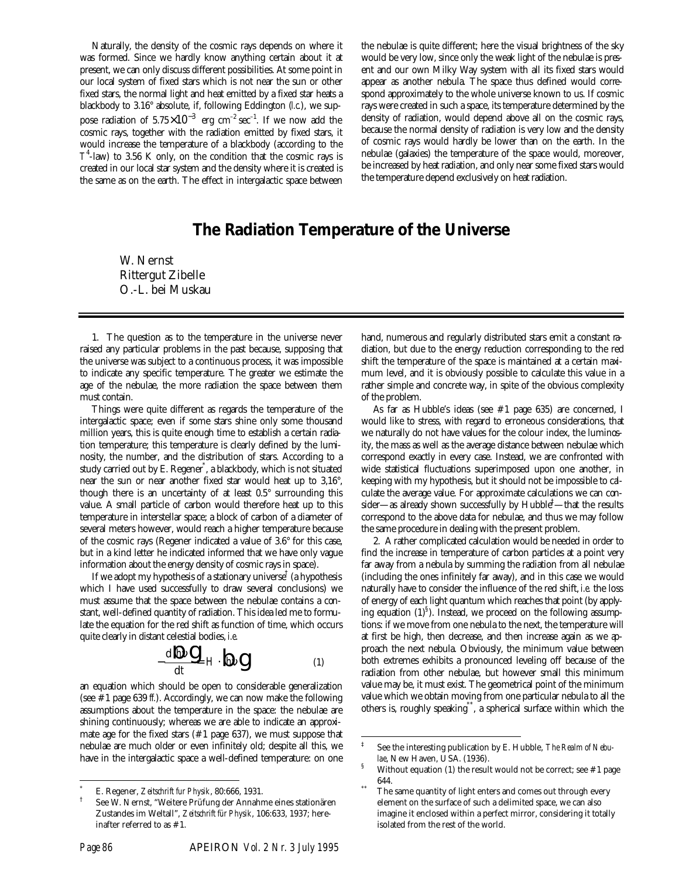Naturally, the density of the cosmic rays depends on where it was formed. Since we hardly know anything certain about it at present, we can only discuss different possibilities. At some point in our local system of fixed stars which is not near the sun or other fixed stars, the normal light and heat emitted by a fixed star heats a blackbody to 3.16° absolute, if, following Eddington (*l.c.*), we suppose radiation of  $5.75\times10^{-3}$  erg cm<sup>-2</sup> sec<sup>-1</sup>. If we now add the cosmic rays, together with the radiation emitted by fixed stars, it would increase the temperature of a blackbody (according to the  $T^4$ -law) to 3.56 K only, on the condition that the cosmic rays is created in our local star system and the density where it is created is the same as on the earth. The effect in intergalactic space between

the nebulae is quite different; here the visual brightness of the sky would be very low, since only the weak light of the nebulae is present and our own Milky Way system with all its fixed stars would appear as another nebula. The space thus defined would correspond approximately to the whole universe known to us. If cosmic rays were created in such a space, its temperature determined by the density of radiation, would depend above all on the cosmic rays, because the normal density of radiation is very low and the density of cosmic rays would hardly be lower than on the earth. In the nebulae (galaxies) the temperature of the space would, moreover, be increased by heat radiation, and only near some fixed stars would the temperature depend exclusively on heat radiation.

# **The Radiation Temperature of the Universe**

l

W. Nernst Rittergut Zibelle O.-L. bei Muskau

1. The question as to the temperature in the universe never raised any particular problems in the past because, supposing that the universe was subject to a continuous process, it was impossible to indicate any specific temperature. The greater we estimate the age of the nebulae, the more radiation the space between them must contain.

Things were quite different as regards the temperature of the intergalactic space; even if some stars shine only some thousand million years, this is quite enough time to establish a certain radiation temperature; this temperature is clearly defined by the luminosity, the number, and the distribution of stars. According to a study carried out by E. Regener\* , a blackbody, which is not situated near the sun or near another fixed star would heat up to 3,16°, though there is an uncertainty of at least 0.5° surrounding this value. A small particle of carbon would therefore heat up to this temperature in interstellar space; a block of carbon of a diameter of several meters however, would reach a higher temperature because of the cosmic rays (Regener indicated a value of 3.6° for this case, but in a kind letter he indicated informed that we have only vague information about the energy density of cosmic rays in space).

If we adopt my hypothesis of a stationary universe<sup>†</sup> (a hypothesis which I have used successfully to draw several conclusions) we must assume that the space between the nebulae contains a constant, well-defined quantity of radiation. This idea led me to formulate the equation for the red shift as function of time, which occurs quite clearly in distant celestial bodies, *i.e*.

$$
-\frac{d\ln m}{dt} = H \cdot \ln m
$$
 (1)

an equation which should be open to considerable generalization (see #1 page 639 *ff.*). Accordingly, we can now make the following assumptions about the temperature in the space: the nebulae are shining continuously; whereas we are able to indicate an approximate age for the fixed stars (#1 page 637), we must suppose that nebulae are much older or even infinitely old; despite all this, we have in the intergalactic space a well-defined temperature: on one

hand, numerous and regularly distributed stars emit a constant radiation, but due to the energy reduction corresponding to the red shift the temperature of the space is maintained at a certain maximum level, and it is obviously possible to calculate this value in a rather simple and concrete way, in spite of the obvious complexity of the problem.

As far as Hubble's ideas (see #1 page 635) are concerned, I would like to stress, with regard to erroneous considerations, that we naturally do not have values for the colour index, the luminosity, the mass as well as the average distance between nebulae which correspond exactly in every case. Instead, we are confronted with wide statistical fluctuations superimposed upon one another, in keeping with my hypothesis, but it should not be impossible to calculate the average value. For approximate calculations we can consider—as already shown successfully by Hubble $\bar{f}$ —that the results correspond to the above data for nebulae, and thus we may follow the same procedure in dealing with the present problem.

2. A rather complicated calculation would be needed in order to find the increase in temperature of carbon particles at a point very far away from a nebula by summing the radiation from all nebulae (including the ones infinitely far away), and in this case we would naturally have to consider the influence of the red shift, *i.e.* the loss of energy of each light quantum which reaches that point (by applying equation  $(1)^8$ ). Instead, we proceed on the following assumptions: if we move from one nebula to the next, the temperature will at first be high, then decrease, and then increase again as we approach the next nebula. Obviously, the minimum value between both extremes exhibits a pronounced leveling off because of the radiation from other nebulae, but however small this minimum value may be, it must exist. The geometrical point of the minimum value which we obtain moving from one particular nebula to all the others is, roughly speaking\*\*, a spherical surface within which the

1

<sup>\*</sup> E. Regener, *Zeitschrift fur Physik*, 80:666, 1931.

<sup>†</sup> See W. Nernst, "Weitere Prüfung der Annahme eines stationären Zustandes im Weltall", *Zeitschrift für Physik*, 106:633, 1937; hereinafter referred to as #1.

<sup>‡</sup> See the interesting publication by E. Hubble, *The Realm of Nebulae*, New Haven, USA. (1936).

Without equation (1) the result would not be correct; see  $#1$  page 644.

The same quantity of light enters and comes out through every element on the surface of such a delimited space, we can also imagine it enclosed within a perfect mirror, considering it totally isolated from the rest of the world.